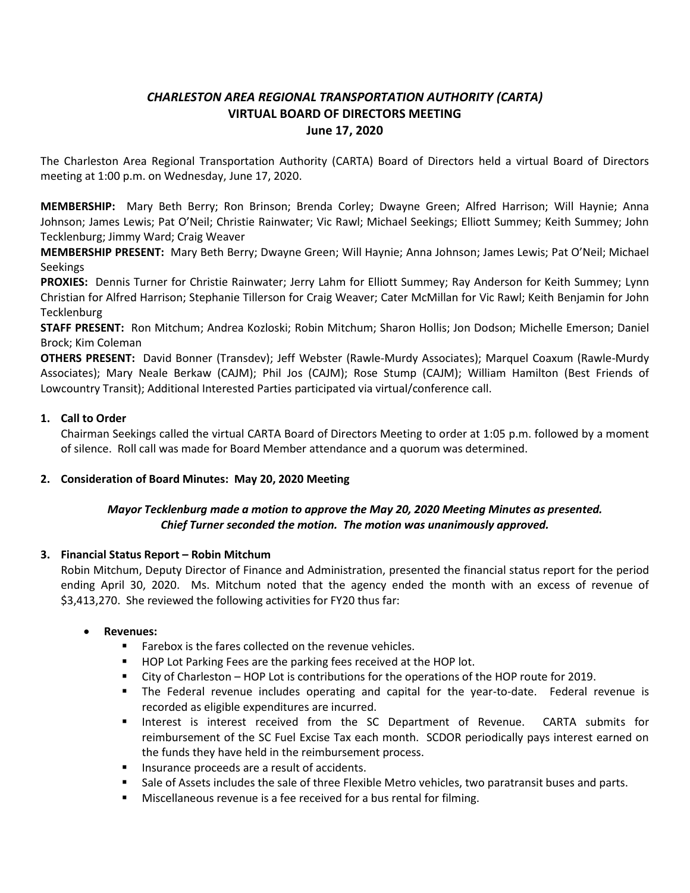# *CHARLESTON AREA REGIONAL TRANSPORTATION AUTHORITY (CARTA)* **VIRTUAL BOARD OF DIRECTORS MEETING June 17, 2020**

The Charleston Area Regional Transportation Authority (CARTA) Board of Directors held a virtual Board of Directors meeting at 1:00 p.m. on Wednesday, June 17, 2020.

**MEMBERSHIP:** Mary Beth Berry; Ron Brinson; Brenda Corley; Dwayne Green; Alfred Harrison; Will Haynie; Anna Johnson; James Lewis; Pat O'Neil; Christie Rainwater; Vic Rawl; Michael Seekings; Elliott Summey; Keith Summey; John Tecklenburg; Jimmy Ward; Craig Weaver

**MEMBERSHIP PRESENT:** Mary Beth Berry; Dwayne Green; Will Haynie; Anna Johnson; James Lewis; Pat O'Neil; Michael Seekings

**PROXIES:** Dennis Turner for Christie Rainwater; Jerry Lahm for Elliott Summey; Ray Anderson for Keith Summey; Lynn Christian for Alfred Harrison; Stephanie Tillerson for Craig Weaver; Cater McMillan for Vic Rawl; Keith Benjamin for John **Tecklenburg** 

**STAFF PRESENT:** Ron Mitchum; Andrea Kozloski; Robin Mitchum; Sharon Hollis; Jon Dodson; Michelle Emerson; Daniel Brock; Kim Coleman

**OTHERS PRESENT:** David Bonner (Transdev); Jeff Webster (Rawle-Murdy Associates); Marquel Coaxum (Rawle-Murdy Associates); Mary Neale Berkaw (CAJM); Phil Jos (CAJM); Rose Stump (CAJM); William Hamilton (Best Friends of Lowcountry Transit); Additional Interested Parties participated via virtual/conference call.

## **1. Call to Order**

Chairman Seekings called the virtual CARTA Board of Directors Meeting to order at 1:05 p.m. followed by a moment of silence. Roll call was made for Board Member attendance and a quorum was determined.

## **2. Consideration of Board Minutes: May 20, 2020 Meeting**

## *Mayor Tecklenburg made a motion to approve the May 20, 2020 Meeting Minutes as presented. Chief Turner seconded the motion. The motion was unanimously approved.*

## **3. Financial Status Report – Robin Mitchum**

Robin Mitchum, Deputy Director of Finance and Administration, presented the financial status report for the period ending April 30, 2020. Ms. Mitchum noted that the agency ended the month with an excess of revenue of \$3,413,270. She reviewed the following activities for FY20 thus far:

## • **Revenues:**

- Farebox is the fares collected on the revenue vehicles.
- HOP Lot Parking Fees are the parking fees received at the HOP lot.
- City of Charleston HOP Lot is contributions for the operations of the HOP route for 2019.
- **■** The Federal revenue includes operating and capital for the year-to-date. Federal revenue is recorded as eligible expenditures are incurred.
- **■** Interest is interest received from the SC Department of Revenue. CARTA submits for reimbursement of the SC Fuel Excise Tax each month. SCDOR periodically pays interest earned on the funds they have held in the reimbursement process.
- **·** Insurance proceeds are a result of accidents.
- **•** Sale of Assets includes the sale of three Flexible Metro vehicles, two paratransit buses and parts.
- Miscellaneous revenue is a fee received for a bus rental for filming.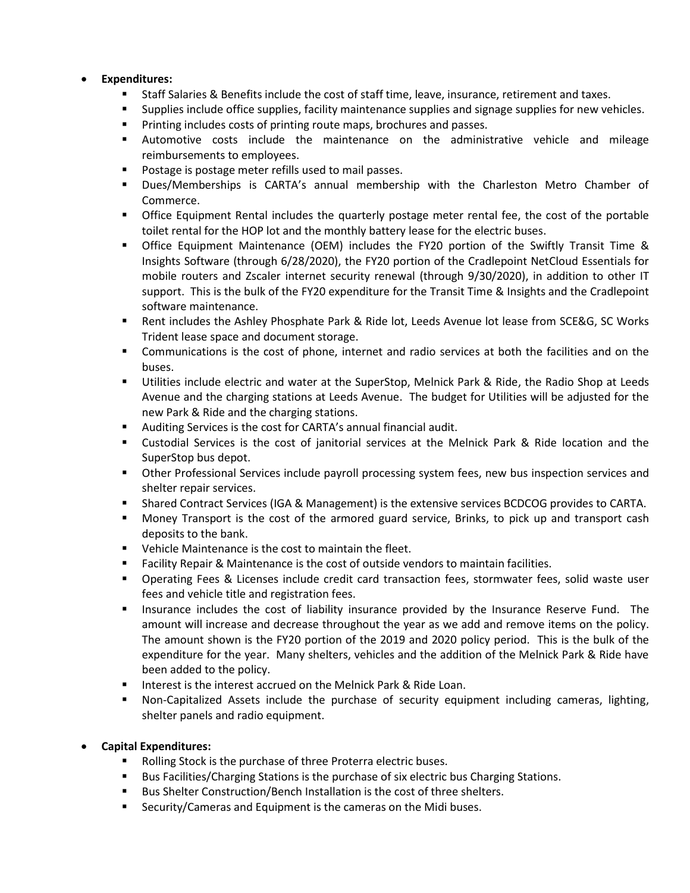## • **Expenditures:**

- Staff Salaries & Benefits include the cost of staff time, leave, insurance, retirement and taxes.
- Supplies include office supplies, facility maintenance supplies and signage supplies for new vehicles.
- Printing includes costs of printing route maps, brochures and passes.
- Automotive costs include the maintenance on the administrative vehicle and mileage reimbursements to employees.
- Postage is postage meter refills used to mail passes.
- Dues/Memberships is CARTA's annual membership with the Charleston Metro Chamber of Commerce.
- **•** Office Equipment Rental includes the quarterly postage meter rental fee, the cost of the portable toilet rental for the HOP lot and the monthly battery lease for the electric buses.
- Office Equipment Maintenance (OEM) includes the FY20 portion of the Swiftly Transit Time & Insights Software (through 6/28/2020), the FY20 portion of the Cradlepoint NetCloud Essentials for mobile routers and Zscaler internet security renewal (through 9/30/2020), in addition to other IT support. This is the bulk of the FY20 expenditure for the Transit Time & Insights and the Cradlepoint software maintenance.
- Rent includes the Ashley Phosphate Park & Ride lot, Leeds Avenue lot lease from SCE&G, SC Works Trident lease space and document storage.
- Communications is the cost of phone, internet and radio services at both the facilities and on the buses.
- Utilities include electric and water at the SuperStop, Melnick Park & Ride, the Radio Shop at Leeds Avenue and the charging stations at Leeds Avenue. The budget for Utilities will be adjusted for the new Park & Ride and the charging stations.
- Auditing Services is the cost for CARTA's annual financial audit.
- Custodial Services is the cost of janitorial services at the Melnick Park & Ride location and the SuperStop bus depot.
- **•** Other Professional Services include payroll processing system fees, new bus inspection services and shelter repair services.
- **EXECT** Shared Contract Services (IGA & Management) is the extensive services BCDCOG provides to CARTA.
- Money Transport is the cost of the armored guard service, Brinks, to pick up and transport cash deposits to the bank.
- Vehicle Maintenance is the cost to maintain the fleet.
- **•** Facility Repair & Maintenance is the cost of outside vendors to maintain facilities.
- Operating Fees & Licenses include credit card transaction fees, stormwater fees, solid waste user fees and vehicle title and registration fees.
- Insurance includes the cost of liability insurance provided by the Insurance Reserve Fund. The amount will increase and decrease throughout the year as we add and remove items on the policy. The amount shown is the FY20 portion of the 2019 and 2020 policy period. This is the bulk of the expenditure for the year. Many shelters, vehicles and the addition of the Melnick Park & Ride have been added to the policy.
- Interest is the interest accrued on the Melnick Park & Ride Loan.
- Non-Capitalized Assets include the purchase of security equipment including cameras, lighting, shelter panels and radio equipment.

## • **Capital Expenditures:**

- Rolling Stock is the purchase of three Proterra electric buses.
- Bus Facilities/Charging Stations is the purchase of six electric bus Charging Stations.
- Bus Shelter Construction/Bench Installation is the cost of three shelters.
- Security/Cameras and Equipment is the cameras on the Midi buses.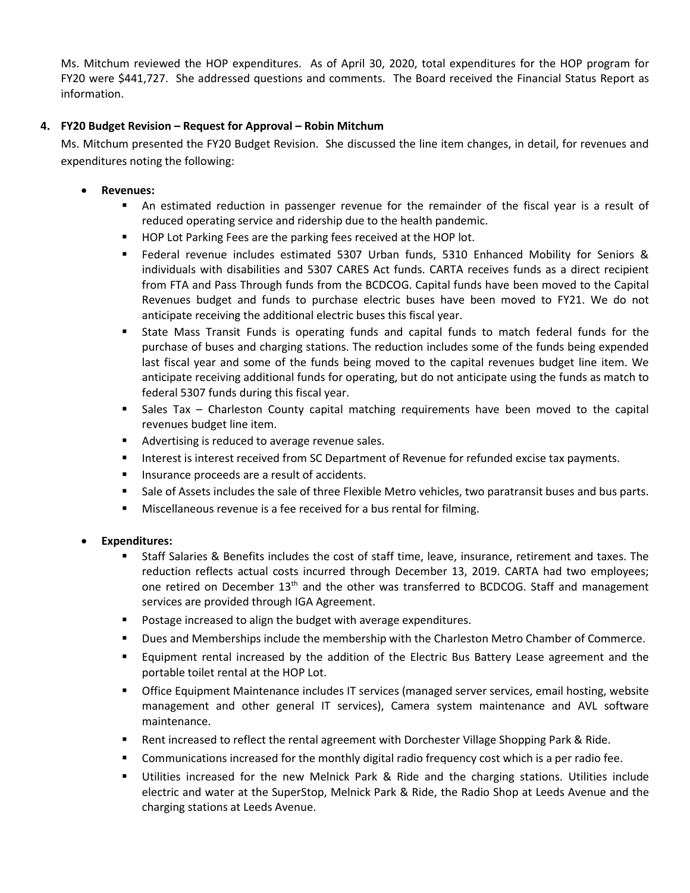Ms. Mitchum reviewed the HOP expenditures. As of April 30, 2020, total expenditures for the HOP program for FY20 were \$441,727. She addressed questions and comments. The Board received the Financial Status Report as information.

## **4. FY20 Budget Revision – Request for Approval – Robin Mitchum**

Ms. Mitchum presented the FY20 Budget Revision. She discussed the line item changes, in detail, for revenues and expenditures noting the following:

- **Revenues:** 
	- **•** An estimated reduction in passenger revenue for the remainder of the fiscal year is a result of reduced operating service and ridership due to the health pandemic.
	- HOP Lot Parking Fees are the parking fees received at the HOP lot.
	- Federal revenue includes estimated 5307 Urban funds, 5310 Enhanced Mobility for Seniors & individuals with disabilities and 5307 CARES Act funds. CARTA receives funds as a direct recipient from FTA and Pass Through funds from the BCDCOG. Capital funds have been moved to the Capital Revenues budget and funds to purchase electric buses have been moved to FY21. We do not anticipate receiving the additional electric buses this fiscal year.
	- State Mass Transit Funds is operating funds and capital funds to match federal funds for the purchase of buses and charging stations. The reduction includes some of the funds being expended last fiscal year and some of the funds being moved to the capital revenues budget line item. We anticipate receiving additional funds for operating, but do not anticipate using the funds as match to federal 5307 funds during this fiscal year.
	- Sales Tax Charleston County capital matching requirements have been moved to the capital revenues budget line item.
	- Advertising is reduced to average revenue sales.
	- **■** Interest is interest received from SC Department of Revenue for refunded excise tax payments.
	- Insurance proceeds are a result of accidents.
	- Sale of Assets includes the sale of three Flexible Metro vehicles, two paratransit buses and bus parts.
	- Miscellaneous revenue is a fee received for a bus rental for filming.

## • **Expenditures:**

- Staff Salaries & Benefits includes the cost of staff time, leave, insurance, retirement and taxes. The reduction reflects actual costs incurred through December 13, 2019. CARTA had two employees; one retired on December 13<sup>th</sup> and the other was transferred to BCDCOG. Staff and management services are provided through IGA Agreement.
- Postage increased to align the budget with average expenditures.
- **■** Dues and Memberships include the membership with the Charleston Metro Chamber of Commerce.
- **Equipment rental increased by the addition of the Electric Bus Battery Lease agreement and the** portable toilet rental at the HOP Lot.
- **•** Office Equipment Maintenance includes IT services (managed server services, email hosting, website management and other general IT services), Camera system maintenance and AVL software maintenance.
- Rent increased to reflect the rental agreement with Dorchester Village Shopping Park & Ride.
- Communications increased for the monthly digital radio frequency cost which is a per radio fee.
- Utilities increased for the new Melnick Park & Ride and the charging stations. Utilities include electric and water at the SuperStop, Melnick Park & Ride, the Radio Shop at Leeds Avenue and the charging stations at Leeds Avenue.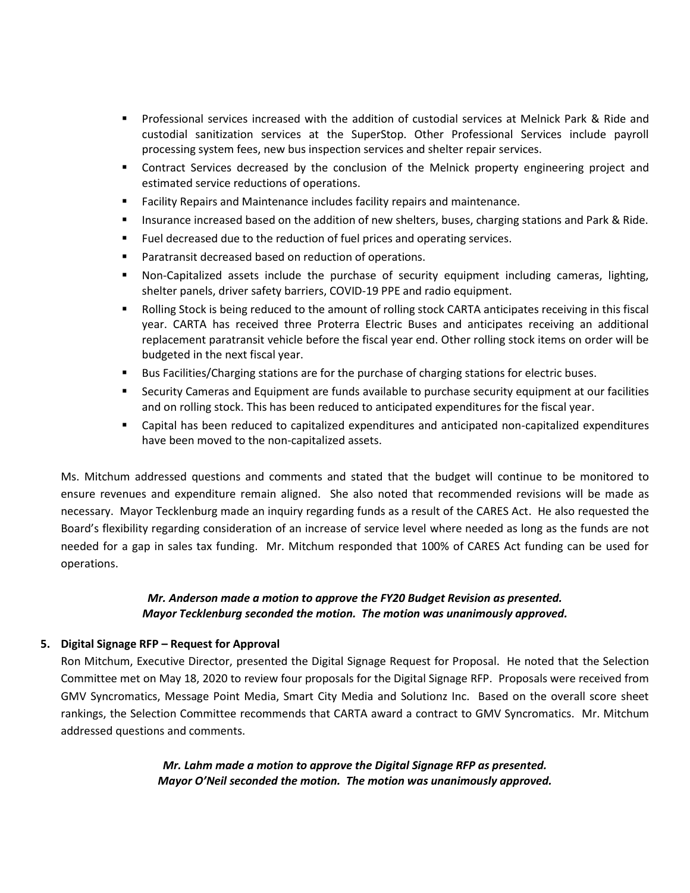- Professional services increased with the addition of custodial services at Melnick Park & Ride and custodial sanitization services at the SuperStop. Other Professional Services include payroll processing system fees, new bus inspection services and shelter repair services.
- **•** Contract Services decreased by the conclusion of the Melnick property engineering project and estimated service reductions of operations.
- Facility Repairs and Maintenance includes facility repairs and maintenance.
- **EXECT** Insurance increased based on the addition of new shelters, buses, charging stations and Park & Ride.
- Fuel decreased due to the reduction of fuel prices and operating services.
- Paratransit decreased based on reduction of operations.
- Non-Capitalized assets include the purchase of security equipment including cameras, lighting, shelter panels, driver safety barriers, COVID-19 PPE and radio equipment.
- Rolling Stock is being reduced to the amount of rolling stock CARTA anticipates receiving in this fiscal year. CARTA has received three Proterra Electric Buses and anticipates receiving an additional replacement paratransit vehicle before the fiscal year end. Other rolling stock items on order will be budgeted in the next fiscal year.
- Bus Facilities/Charging stations are for the purchase of charging stations for electric buses.
- **EXECUTE:** Security Cameras and Equipment are funds available to purchase security equipment at our facilities and on rolling stock. This has been reduced to anticipated expenditures for the fiscal year.
- Capital has been reduced to capitalized expenditures and anticipated non-capitalized expenditures have been moved to the non-capitalized assets.

Ms. Mitchum addressed questions and comments and stated that the budget will continue to be monitored to ensure revenues and expenditure remain aligned. She also noted that recommended revisions will be made as necessary. Mayor Tecklenburg made an inquiry regarding funds as a result of the CARES Act. He also requested the Board's flexibility regarding consideration of an increase of service level where needed as long as the funds are not needed for a gap in sales tax funding. Mr. Mitchum responded that 100% of CARES Act funding can be used for operations.

## *Mr. Anderson made a motion to approve the FY20 Budget Revision as presented. Mayor Tecklenburg seconded the motion. The motion was unanimously approved.*

## **5. Digital Signage RFP – Request for Approval**

Ron Mitchum, Executive Director, presented the Digital Signage Request for Proposal. He noted that the Selection Committee met on May 18, 2020 to review four proposals for the Digital Signage RFP. Proposals were received from GMV Syncromatics, Message Point Media, Smart City Media and Solutionz Inc. Based on the overall score sheet rankings, the Selection Committee recommends that CARTA award a contract to GMV Syncromatics. Mr. Mitchum addressed questions and comments.

> *Mr. Lahm made a motion to approve the Digital Signage RFP as presented. Mayor O'Neil seconded the motion. The motion was unanimously approved.*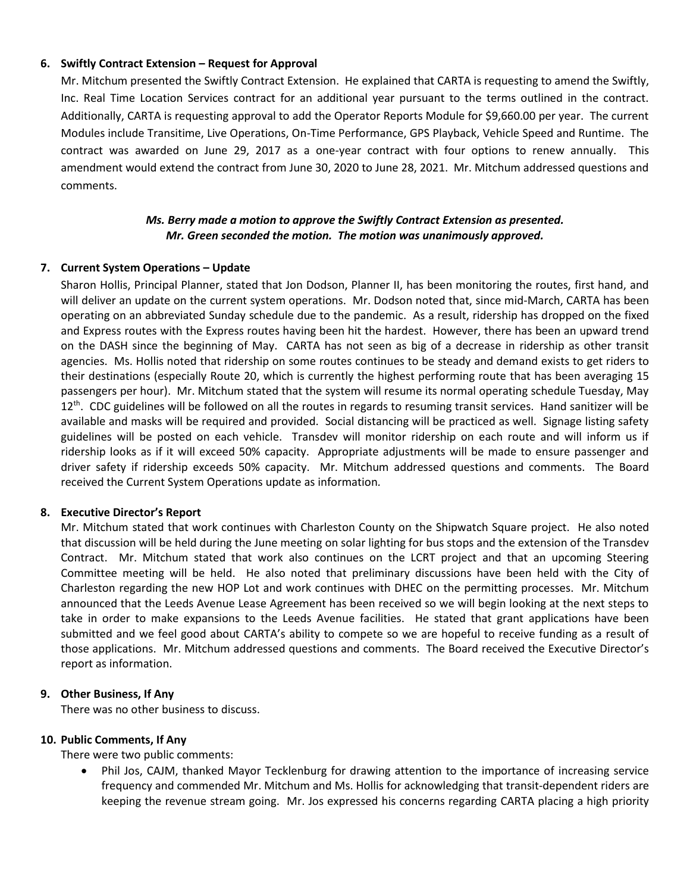#### **6. Swiftly Contract Extension – Request for Approval**

Mr. Mitchum presented the Swiftly Contract Extension. He explained that CARTA is requesting to amend the Swiftly, Inc. Real Time Location Services contract for an additional year pursuant to the terms outlined in the contract. Additionally, CARTA is requesting approval to add the Operator Reports Module for \$9,660.00 per year. The current Modules include Transitime, Live Operations, On-Time Performance, GPS Playback, Vehicle Speed and Runtime. The contract was awarded on June 29, 2017 as a one-year contract with four options to renew annually. This amendment would extend the contract from June 30, 2020 to June 28, 2021. Mr. Mitchum addressed questions and comments.

## *Ms. Berry made a motion to approve the Swiftly Contract Extension as presented. Mr. Green seconded the motion. The motion was unanimously approved.*

## **7. Current System Operations – Update**

Sharon Hollis, Principal Planner, stated that Jon Dodson, Planner II, has been monitoring the routes, first hand, and will deliver an update on the current system operations. Mr. Dodson noted that, since mid-March, CARTA has been operating on an abbreviated Sunday schedule due to the pandemic. As a result, ridership has dropped on the fixed and Express routes with the Express routes having been hit the hardest. However, there has been an upward trend on the DASH since the beginning of May. CARTA has not seen as big of a decrease in ridership as other transit agencies. Ms. Hollis noted that ridership on some routes continues to be steady and demand exists to get riders to their destinations (especially Route 20, which is currently the highest performing route that has been averaging 15 passengers per hour). Mr. Mitchum stated that the system will resume its normal operating schedule Tuesday, May  $12<sup>th</sup>$ . CDC guidelines will be followed on all the routes in regards to resuming transit services. Hand sanitizer will be available and masks will be required and provided. Social distancing will be practiced as well. Signage listing safety guidelines will be posted on each vehicle. Transdev will monitor ridership on each route and will inform us if ridership looks as if it will exceed 50% capacity. Appropriate adjustments will be made to ensure passenger and driver safety if ridership exceeds 50% capacity. Mr. Mitchum addressed questions and comments. The Board received the Current System Operations update as information*.*

#### **8. Executive Director's Report**

Mr. Mitchum stated that work continues with Charleston County on the Shipwatch Square project. He also noted that discussion will be held during the June meeting on solar lighting for bus stops and the extension of the Transdev Contract. Mr. Mitchum stated that work also continues on the LCRT project and that an upcoming Steering Committee meeting will be held. He also noted that preliminary discussions have been held with the City of Charleston regarding the new HOP Lot and work continues with DHEC on the permitting processes. Mr. Mitchum announced that the Leeds Avenue Lease Agreement has been received so we will begin looking at the next steps to take in order to make expansions to the Leeds Avenue facilities. He stated that grant applications have been submitted and we feel good about CARTA's ability to compete so we are hopeful to receive funding as a result of those applications. Mr. Mitchum addressed questions and comments. The Board received the Executive Director's report as information.

## **9. Other Business, If Any**

There was no other business to discuss.

#### **10. Public Comments, If Any**

There were two public comments:

• Phil Jos, CAJM, thanked Mayor Tecklenburg for drawing attention to the importance of increasing service frequency and commended Mr. Mitchum and Ms. Hollis for acknowledging that transit-dependent riders are keeping the revenue stream going. Mr. Jos expressed his concerns regarding CARTA placing a high priority